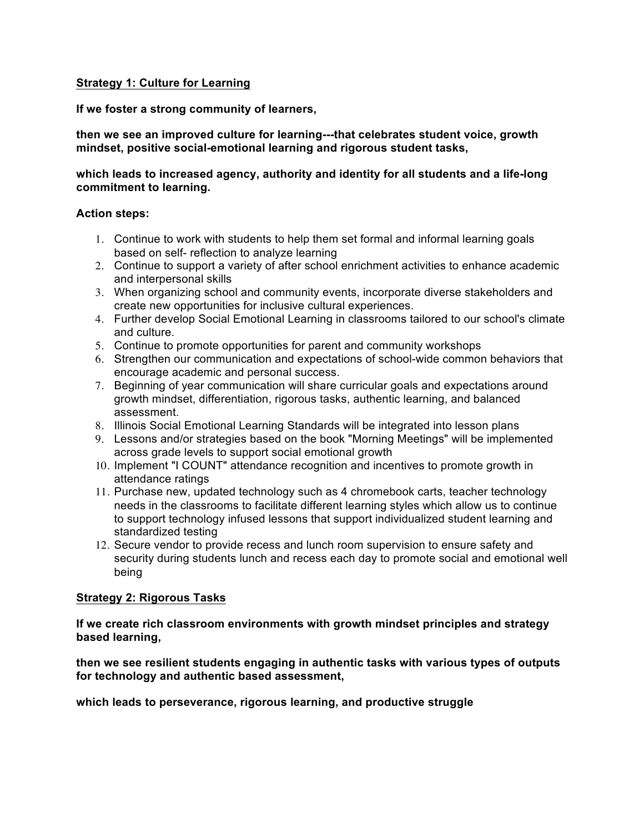## **Strategy 1: Culture for Learning**

**If we foster a strong community of learners,**

#### **then we see an improved culture for learning---that celebrates student voice, growth mindset, positive social-emotional learning and rigorous student tasks,**

## **which leads to increased agency, authority and identity for all students and a life-long commitment to learning.**

#### **Action steps:**

- 1. Continue to work with students to help them set formal and informal learning goals based on self- reflection to analyze learning
- 2. Continue to support a variety of after school enrichment activities to enhance academic and interpersonal skills
- 3. When organizing school and community events, incorporate diverse stakeholders and create new opportunities for inclusive cultural experiences.
- 4. Further develop Social Emotional Learning in classrooms tailored to our school's climate and culture.
- 5. Continue to promote opportunities for parent and community workshops
- 6. Strengthen our communication and expectations of school-wide common behaviors that encourage academic and personal success.
- 7. Beginning of year communication will share curricular goals and expectations around growth mindset, differentiation, rigorous tasks, authentic learning, and balanced assessment.
- 8. Illinois Social Emotional Learning Standards will be integrated into lesson plans
- 9. Lessons and/or strategies based on the book "Morning Meetings" will be implemented across grade levels to support social emotional growth
- 10. Implement "I COUNT" attendance recognition and incentives to promote growth in attendance ratings
- 11. Purchase new, updated technology such as 4 chromebook carts, teacher technology needs in the classrooms to facilitate different learning styles which allow us to continue to support technology infused lessons that support individualized student learning and standardized testing
- 12. Secure vendor to provide recess and lunch room supervision to ensure safety and security during students lunch and recess each day to promote social and emotional well being

## **Strategy 2: Rigorous Tasks**

**If we create rich classroom environments with growth mindset principles and strategy based learning,**

**then we see resilient students engaging in authentic tasks with various types of outputs for technology and authentic based assessment,**

**which leads to perseverance, rigorous learning, and productive struggle**